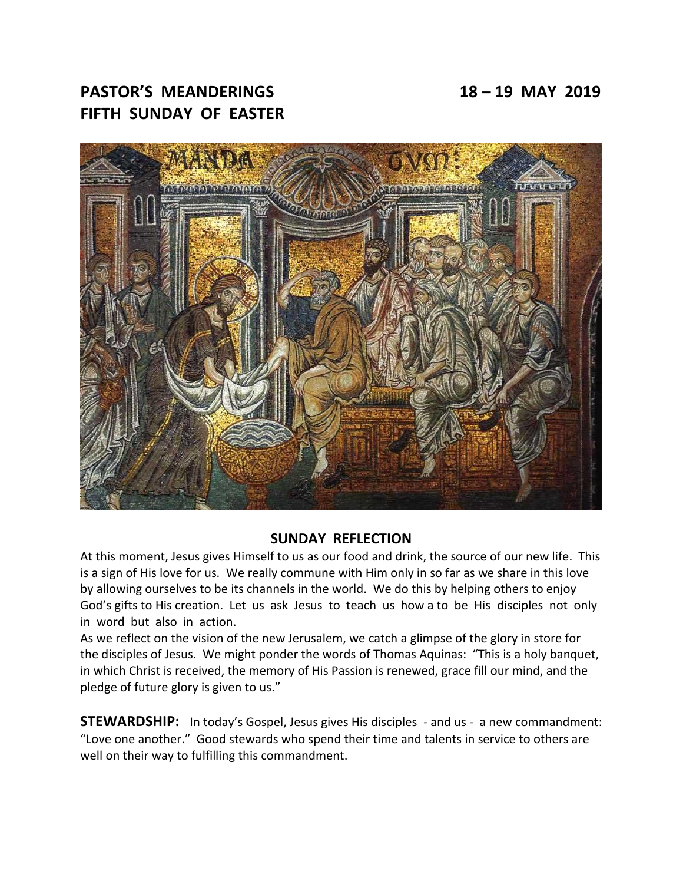# **PASTOR'S MEANDERINGS 18 – 19 MAY 2019 FIFTH SUNDAY OF EASTER**



### **SUNDAY REFLECTION**

At this moment, Jesus gives Himself to us as our food and drink, the source of our new life. This is a sign of His love for us. We really commune with Him only in so far as we share in this love by allowing ourselves to be its channels in the world. We do this by helping others to enjoy God's gifts to His creation. Let us ask Jesus to teach us how a to be His disciples not only in word but also in action.

As we reflect on the vision of the new Jerusalem, we catch a glimpse of the glory in store for the disciples of Jesus. We might ponder the words of Thomas Aquinas: "This is a holy banquet, in which Christ is received, the memory of His Passion is renewed, grace fill our mind, and the pledge of future glory is given to us."

**STEWARDSHIP:** In today's Gospel, Jesus gives His disciples - and us - a new commandment: "Love one another." Good stewards who spend their time and talents in service to others are well on their way to fulfilling this commandment.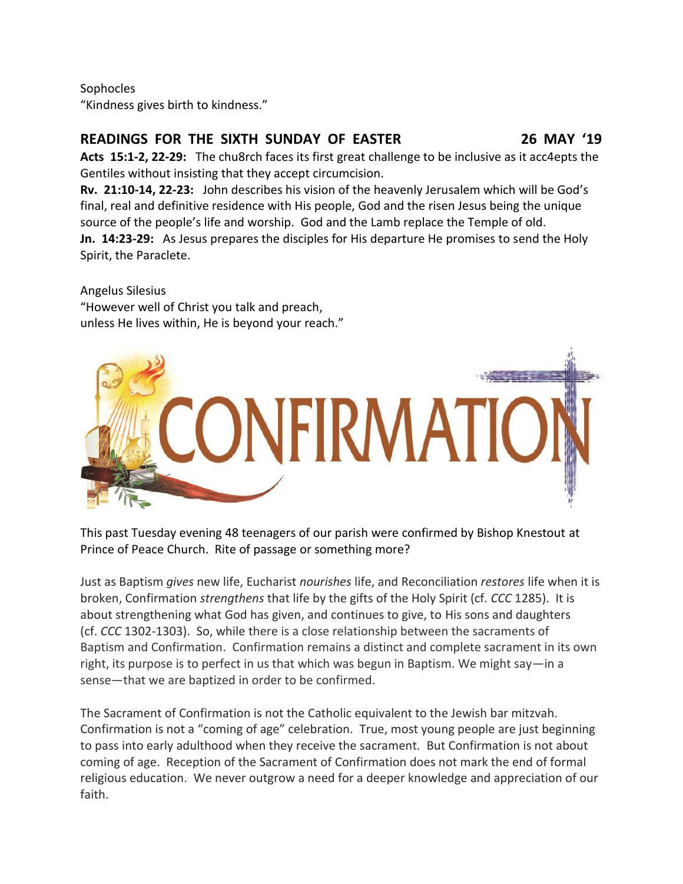### Sophocles

"Kindness gives birth to kindness."

## **READINGS FOR THE SIXTH SUNDAY OF EASTER 26 MAY '19**

**Acts 15:1-2, 22-29:** The chu8rch faces its first great challenge to be inclusive as it acc4epts the Gentiles without insisting that they accept circumcision.

**Rv. 21:10-14, 22-23:** John describes his vision of the heavenly Jerusalem which will be God's final, real and definitive residence with His people, God and the risen Jesus being the unique source of the people's life and worship. God and the Lamb replace the Temple of old. **Jn. 14:23-29:** As Jesus prepares the disciples for His departure He promises to send the Holy Spirit, the Paraclete.

Angelus Silesius "However well of Christ you talk and preach, unless He lives within, He is beyond your reach."



This past Tuesday evening 48 teenagers of our parish were confirmed by Bishop Knestout at Prince of Peace Church. Rite of passage or something more?

Just as Baptism *gives* new life, Eucharist *nourishes* life, and Reconciliation *restores* life when it is broken, Confirmation *strengthens* that life by the gifts of the Holy Spirit (cf. *CCC* 1285). It is about strengthening what God has given, and continues to give, to His sons and daughters (cf. *CCC* 1302-1303). So, while there is a close relationship between the sacraments of Baptism and Confirmation. Confirmation remains a distinct and complete sacrament in its own right, its purpose is to perfect in us that which was begun in Baptism. We might say—in a sense—that we are baptized in order to be confirmed.

The Sacrament of Confirmation is not the Catholic equivalent to the Jewish bar mitzvah. Confirmation is not a "coming of age" celebration. True, most young people are just beginning to pass into early adulthood when they receive the sacrament. But Confirmation is not about coming of age. Reception of the Sacrament of Confirmation does not mark the end of formal religious education. We never outgrow a need for a deeper knowledge and appreciation of our faith.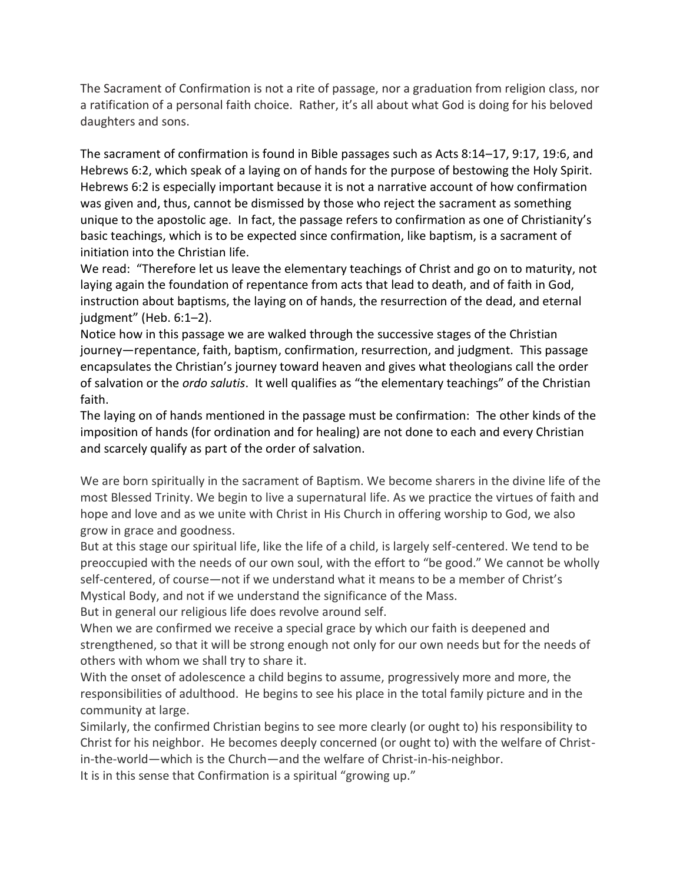The Sacrament of Confirmation is not a rite of passage, nor a graduation from religion class, nor a ratification of a personal faith choice. Rather, it's all about what God is doing for his beloved daughters and sons.

The sacrament of confirmation is found in Bible passages such as Acts 8:14–17, 9:17, 19:6, and Hebrews 6:2, which speak of a laying on of hands for the purpose of bestowing the Holy Spirit. Hebrews 6:2 is especially important because it is not a narrative account of how confirmation was given and, thus, cannot be dismissed by those who reject the sacrament as something unique to the apostolic age. In fact, the passage refers to confirmation as one of Christianity's basic teachings, which is to be expected since confirmation, like baptism, is a sacrament of initiation into the Christian life.

We read: "Therefore let us leave the elementary teachings of Christ and go on to maturity, not laying again the foundation of repentance from acts that lead to death, and of faith in God, instruction about baptisms, the laying on of hands, the resurrection of the dead, and eternal judgment" (Heb. 6:1–2).

Notice how in this passage we are walked through the successive stages of the Christian journey—repentance, faith, baptism, confirmation, resurrection, and judgment. This passage encapsulates the Christian's journey toward heaven and gives what theologians call the order of salvation or the *ordo salutis*. It well qualifies as "the elementary teachings" of the Christian faith.

The laying on of hands mentioned in the passage must be confirmation: The other kinds of the imposition of hands (for ordination and for healing) are not done to each and every Christian and scarcely qualify as part of the order of salvation.

We are born spiritually in the sacrament of Baptism. We become sharers in the divine life of the most Blessed Trinity. We begin to live a supernatural life. As we practice the virtues of faith and hope and love and as we unite with Christ in His Church in offering worship to God, we also grow in grace and goodness.

But at this stage our spiritual life, like the life of a child, is largely self-centered. We tend to be preoccupied with the needs of our own soul, with the effort to "be good." We cannot be wholly self-centered, of course—not if we understand what it means to be a member of Christ's Mystical Body, and not if we understand the significance of the Mass.

But in general our religious life does revolve around self.

When we are confirmed we receive a special grace by which our faith is deepened and strengthened, so that it will be strong enough not only for our own needs but for the needs of others with whom we shall try to share it.

With the onset of adolescence a child begins to assume, progressively more and more, the responsibilities of adulthood. He begins to see his place in the total family picture and in the community at large.

Similarly, the confirmed Christian begins to see more clearly (or ought to) his responsibility to Christ for his neighbor. He becomes deeply concerned (or ought to) with the welfare of Christin-the-world—which is the Church—and the welfare of Christ-in-his-neighbor.

It is in this sense that Confirmation is a spiritual "growing up."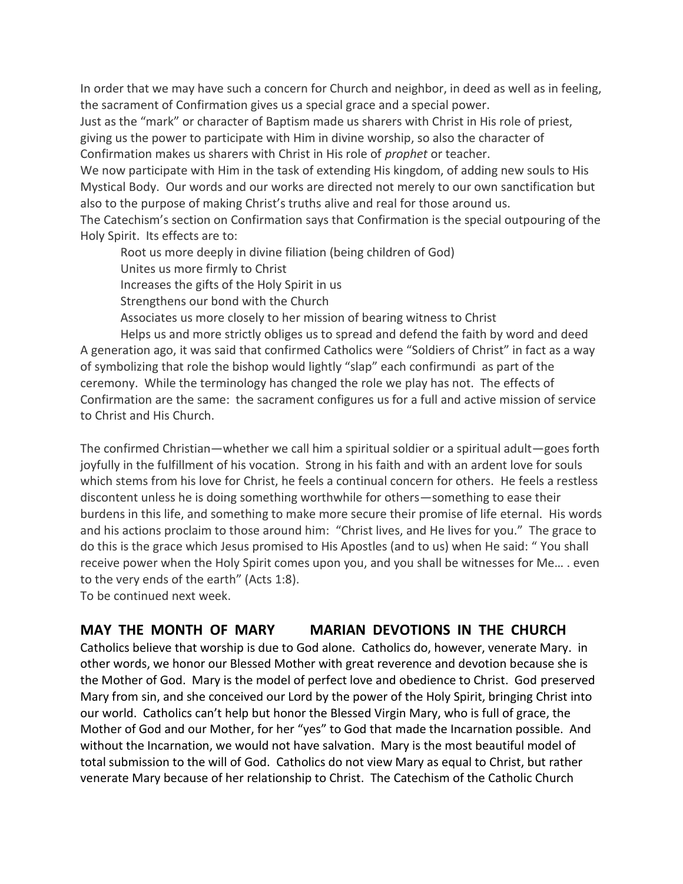In order that we may have such a concern for Church and neighbor, in deed as well as in feeling, the sacrament of Confirmation gives us a special grace and a special power.

Just as the "mark" or character of Baptism made us sharers with Christ in His role of priest, giving us the power to participate with Him in divine worship, so also the character of Confirmation makes us sharers with Christ in His role of *prophet* or teacher.

We now participate with Him in the task of extending His kingdom, of adding new souls to His Mystical Body. Our words and our works are directed not merely to our own sanctification but also to the purpose of making Christ's truths alive and real for those around us.

The Catechism's section on Confirmation says that Confirmation is the special outpouring of the Holy Spirit. Its effects are to:

Root us more deeply in divine filiation (being children of God)

Unites us more firmly to Christ

Increases the gifts of the Holy Spirit in us

Strengthens our bond with the Church

Associates us more closely to her mission of bearing witness to Christ

Helps us and more strictly obliges us to spread and defend the faith by word and deed A generation ago, it was said that confirmed Catholics were "Soldiers of Christ" in fact as a way of symbolizing that role the bishop would lightly "slap" each confirmundi as part of the ceremony. While the terminology has changed the role we play has not. The effects of Confirmation are the same: the sacrament configures us for a full and active mission of service to Christ and His Church.

The confirmed Christian—whether we call him a spiritual soldier or a spiritual adult—goes forth joyfully in the fulfillment of his vocation. Strong in his faith and with an ardent love for souls which stems from his love for Christ, he feels a continual concern for others. He feels a restless discontent unless he is doing something worthwhile for others—something to ease their burdens in this life, and something to make more secure their promise of life eternal. His words and his actions proclaim to those around him: "Christ lives, and He lives for you." The grace to do this is the grace which Jesus promised to His Apostles (and to us) when He said: " You shall receive power when the Holy Spirit comes upon you, and you shall be witnesses for Me… . even to the very ends of the earth" (Acts 1:8).

To be continued next week.

# **MAY THE MONTH OF MARY MARIAN DEVOTIONS IN THE CHURCH**

Catholics believe that worship is due to God alone. Catholics do, however, venerate Mary. in other words, we honor our Blessed Mother with great reverence and devotion because she is the Mother of God. Mary is the model of perfect love and obedience to Christ. God preserved Mary from sin, and she conceived our Lord by the power of the Holy Spirit, bringing Christ into our world. Catholics can't help but honor the Blessed Virgin Mary, who is full of grace, the Mother of God and our Mother, for her "yes" to God that made the Incarnation possible. And without the Incarnation, we would not have salvation. Mary is the most beautiful model of total submission to the will of God. Catholics do not view Mary as equal to Christ, but rather venerate Mary because of her relationship to Christ. The Catechism of the Catholic Church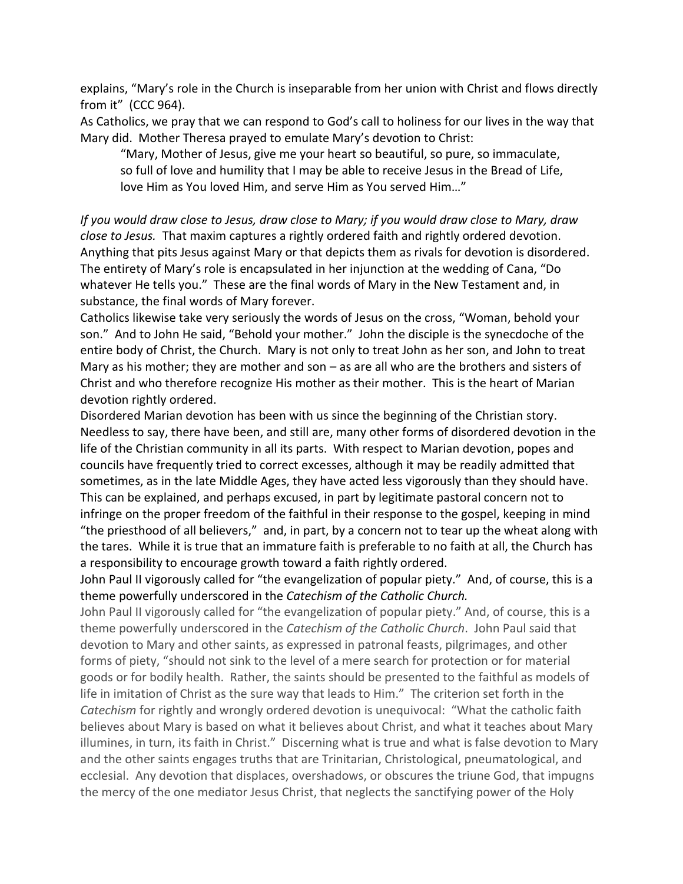explains, "Mary's role in the Church is inseparable from her union with Christ and flows directly from it" (CCC 964).

As Catholics, we pray that we can respond to God's call to holiness for our lives in the way that Mary did. Mother Theresa prayed to emulate Mary's devotion to Christ:

"Mary, Mother of Jesus, give me your heart so beautiful, so pure, so immaculate, so full of love and humility that I may be able to receive Jesus in the Bread of Life, love Him as You loved Him, and serve Him as You served Him…"

*If you would draw close to Jesus, draw close to Mary; if you would draw close to Mary, draw close to Jesus.* That maxim captures a rightly ordered faith and rightly ordered devotion. Anything that pits Jesus against Mary or that depicts them as rivals for devotion is disordered. The entirety of Mary's role is encapsulated in her injunction at the wedding of Cana, "Do whatever He tells you." These are the final words of Mary in the New Testament and, in substance, the final words of Mary forever.

Catholics likewise take very seriously the words of Jesus on the cross, "Woman, behold your son." And to John He said, "Behold your mother." John the disciple is the synecdoche of the entire body of Christ, the Church. Mary is not only to treat John as her son, and John to treat Mary as his mother; they are mother and son – as are all who are the brothers and sisters of Christ and who therefore recognize His mother as their mother. This is the heart of Marian devotion rightly ordered.

Disordered Marian devotion has been with us since the beginning of the Christian story. Needless to say, there have been, and still are, many other forms of disordered devotion in the life of the Christian community in all its parts. With respect to Marian devotion, popes and councils have frequently tried to correct excesses, although it may be readily admitted that sometimes, as in the late Middle Ages, they have acted less vigorously than they should have. This can be explained, and perhaps excused, in part by legitimate pastoral concern not to infringe on the proper freedom of the faithful in their response to the gospel, keeping in mind "the priesthood of all believers," and, in part, by a concern not to tear up the wheat along with the tares. While it is true that an immature faith is preferable to no faith at all, the Church has a responsibility to encourage growth toward a faith rightly ordered.

John Paul II vigorously called for "the evangelization of popular piety." And, of course, this is a theme powerfully underscored in the *Catechism of the Catholic Church.*

John Paul II vigorously called for "the evangelization of popular piety." And, of course, this is a theme powerfully underscored in the *Catechism of the Catholic Church*. John Paul said that devotion to Mary and other saints, as expressed in patronal feasts, pilgrimages, and other forms of piety, "should not sink to the level of a mere search for protection or for material goods or for bodily health. Rather, the saints should be presented to the faithful as models of life in imitation of Christ as the sure way that leads to Him." The criterion set forth in the *Catechism* for rightly and wrongly ordered devotion is unequivocal: "What the catholic faith believes about Mary is based on what it believes about Christ, and what it teaches about Mary illumines, in turn, its faith in Christ." Discerning what is true and what is false devotion to Mary and the other saints engages truths that are Trinitarian, Christological, pneumatological, and ecclesial. Any devotion that displaces, overshadows, or obscures the triune God, that impugns the mercy of the one mediator Jesus Christ, that neglects the sanctifying power of the Holy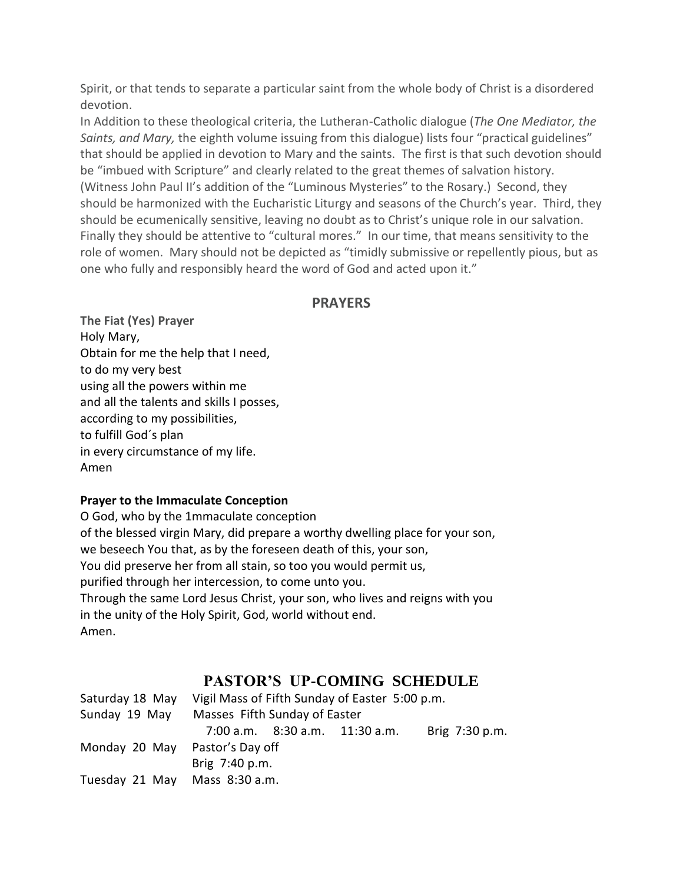Spirit, or that tends to separate a particular saint from the whole body of Christ is a disordered devotion.

In Addition to these theological criteria, the Lutheran-Catholic dialogue (*The One Mediator, the Saints, and Mary,* the eighth volume issuing from this dialogue) lists four "practical guidelines" that should be applied in devotion to Mary and the saints. The first is that such devotion should be "imbued with Scripture" and clearly related to the great themes of salvation history. (Witness John Paul II's addition of the "Luminous Mysteries" to the Rosary.) Second, they should be harmonized with the Eucharistic Liturgy and seasons of the Church's year. Third, they should be ecumenically sensitive, leaving no doubt as to Christ's unique role in our salvation. Finally they should be attentive to "cultural mores." In our time, that means sensitivity to the role of women. Mary should not be depicted as "timidly submissive or repellently pious, but as one who fully and responsibly heard the word of God and acted upon it."

### **PRAYERS**

**The Fiat (Yes) Prayer** Holy Mary, Obtain for me the help that I need, to do my very best using all the powers within me and all the talents and skills I posses, according to my possibilities, to fulfill God´s plan in every circumstance of my life. Amen

### **Prayer to the Immaculate Conception**

O God, who by the 1mmaculate conception of the blessed virgin Mary, did prepare a worthy dwelling place for your son, we beseech You that, as by the foreseen death of this, your son, You did preserve her from all stain, so too you would permit us, purified through her intercession, to come unto you. Through the same Lord Jesus Christ, your son, who lives and reigns with you in the unity of the Holy Spirit, God, world without end. Amen.

# **PASTOR'S UP-COMING SCHEDULE**

| Saturday 18 May                | Vigil Mass of Fifth Sunday of Easter 5:00 p.m. |  |                                      |                |
|--------------------------------|------------------------------------------------|--|--------------------------------------|----------------|
| Sunday 19 May                  | Masses Fifth Sunday of Easter                  |  |                                      |                |
|                                |                                                |  | $7:00$ a.m. $8:30$ a.m. $11:30$ a.m. | Brig 7:30 p.m. |
| Monday 20 May Pastor's Day off |                                                |  |                                      |                |
|                                | Brig 7:40 p.m.                                 |  |                                      |                |
| Tuesday 21 May                 | Mass 8:30 a.m.                                 |  |                                      |                |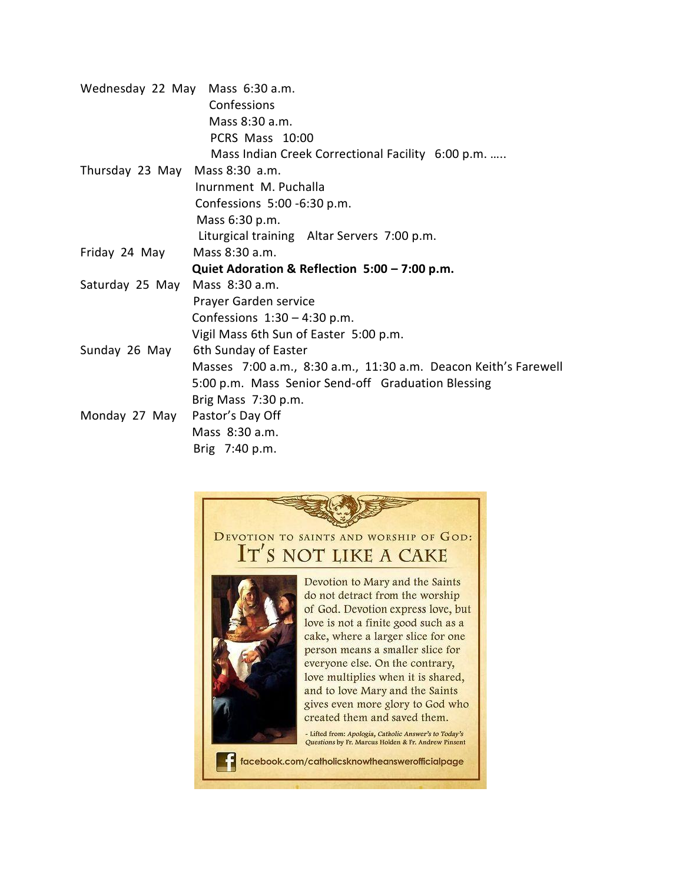| Wednesday 22 May Mass 6:30 a.m. |                                                                 |  |  |  |  |
|---------------------------------|-----------------------------------------------------------------|--|--|--|--|
|                                 | Confessions                                                     |  |  |  |  |
|                                 | Mass 8:30 a.m.                                                  |  |  |  |  |
|                                 | PCRS Mass 10:00                                                 |  |  |  |  |
|                                 | Mass Indian Creek Correctional Facility 6:00 p.m.               |  |  |  |  |
| Thursday 23 May Mass 8:30 a.m.  |                                                                 |  |  |  |  |
|                                 | Inurnment M. Puchalla                                           |  |  |  |  |
|                                 | Confessions 5:00 -6:30 p.m.                                     |  |  |  |  |
|                                 | Mass 6:30 p.m.                                                  |  |  |  |  |
|                                 | Liturgical training Altar Servers 7:00 p.m.                     |  |  |  |  |
| Friday 24 May                   | Mass 8:30 a.m.                                                  |  |  |  |  |
|                                 | Quiet Adoration & Reflection 5:00 – 7:00 p.m.                   |  |  |  |  |
| Saturday 25 May                 | Mass 8:30 a.m.                                                  |  |  |  |  |
|                                 | Prayer Garden service                                           |  |  |  |  |
|                                 | Confessions $1:30 - 4:30$ p.m.                                  |  |  |  |  |
|                                 | Vigil Mass 6th Sun of Easter 5:00 p.m.                          |  |  |  |  |
| Sunday 26 May                   | 6th Sunday of Easter                                            |  |  |  |  |
|                                 | Masses 7:00 a.m., 8:30 a.m., 11:30 a.m. Deacon Keith's Farewell |  |  |  |  |
|                                 | 5:00 p.m. Mass Senior Send-off Graduation Blessing              |  |  |  |  |
|                                 | Brig Mass 7:30 p.m.                                             |  |  |  |  |
| Monday 27 May                   | Pastor's Day Off                                                |  |  |  |  |
|                                 | Mass 8:30 a.m.                                                  |  |  |  |  |
|                                 | Brig 7:40 p.m.                                                  |  |  |  |  |